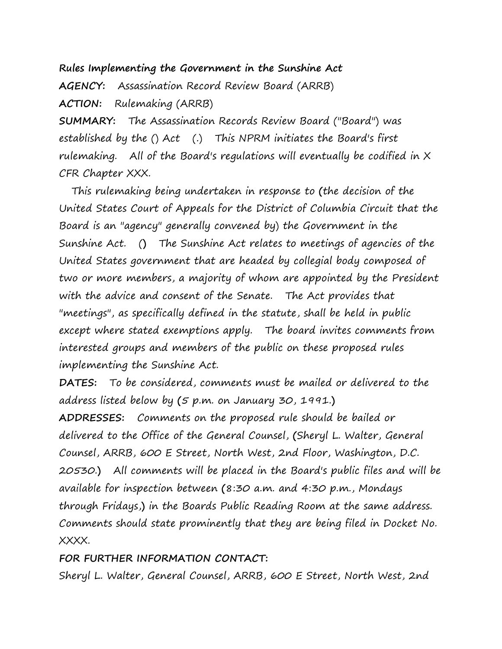### **Rules Implementing the Government in the Sunshine Act**

**AGENCY:** Assassination Record Review Board (ARRB) **ACTION:** Rulemaking (ARRB)

**SUMMARY:** The Assassination Records Review Board ("Board") was established by the () Act (.) This NPRM initiates the Board's first rulemaking. All of the Board's regulations will eventually be codified in X CFR Chapter XXX.

 This rulemaking being undertaken in response to **(**the decision of the United States Court of Appeals for the District of Columbia Circuit that the Board is an "agency" generally convened by) the Government in the Sunshine Act. (**)** The Sunshine Act relates to meetings of agencies of the United States government that are headed by collegial body composed of two or more members, a majority of whom are appointed by the President with the advice and consent of the Senate. The Act provides that "meetings", as specifically defined in the statute, shall be held in public except where stated exemptions apply. The board invites comments from interested groups and members of the public on these proposed rules implementing the Sunshine Act.

**DATES:** To be considered, comments must be mailed or delivered to the address listed below by **(**5 p.m. on January 30, 1991.**)**

**ADDRESSES:** Comments on the proposed rule should be bailed or delivered to the Office of the General Counsel, **(**Sheryl L. Walter, General Counsel, ARRB, 600 E Street, North West, 2nd Floor, Washington, D.C. 20530.**)** All comments will be placed in the Board's public files and will be available for inspection between **(**8:30 a.m. and 4:30 p.m., Mondays through Fridays,**)** in the Boards Public Reading Room at the same address. Comments should state prominently that they are being filed in Docket No. XXXX.

#### **FOR FURTHER INFORMATION CONTACT:**

Sheryl L. Walter, General Counsel, ARRB, 600 E Street, North West, 2nd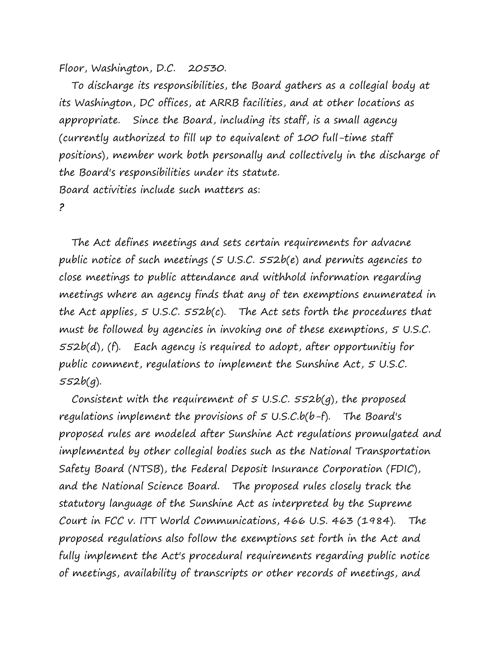Floor, Washington, D.C. 20530.

 To discharge its responsibilities, the Board gathers as a collegial body at its Washington, DC offices, at ARRB facilities, and at other locations as appropriate. Since the Board, including its staff, is a small agency (currently authorized to fill up to equivalent of 100 full-time staff positions), member work both personally and collectively in the discharge of the Board's responsibilities under its statute. Board activities include such matters as: **?**

 The Act defines meetings and sets certain requirements for advacne public notice of such meetings (5 U.S.C. 552b(e) and permits agencies to close meetings to public attendance and withhold information regarding meetings where an agency finds that any of ten exemptions enumerated in the Act applies,  $5 \text{ U.S.C. } 552b(c)$ . The Act sets forth the procedures that must be followed by agencies in invoking one of these exemptions, 5 U.S.C. 552b(d), (f). Each agency is required to adopt, after opportunitiy for public comment, regulations to implement the Sunshine Act, 5 U.S.C. 552b(g).

Consistent with the requirement of  $5$  U.S.C.  $552b(q)$ , the proposed regulations implement the provisions of  $5$  U.S.C.b(b-f). The Board's proposed rules are modeled after Sunshine Act regulations promulgated and implemented by other collegial bodies such as the National Transportation Safety Board (NTSB), the Federal Deposit Insurance Corporation (FDIC), and the National Science Board. The proposed rules closely track the statutory language of the Sunshine Act as interpreted by the Supreme Court in FCC v. ITT World Communications, 466 U.S. 463 (1984). The proposed regulations also follow the exemptions set forth in the Act and fully implement the Act's procedural requirements regarding public notice of meetings, availability of transcripts or other records of meetings, and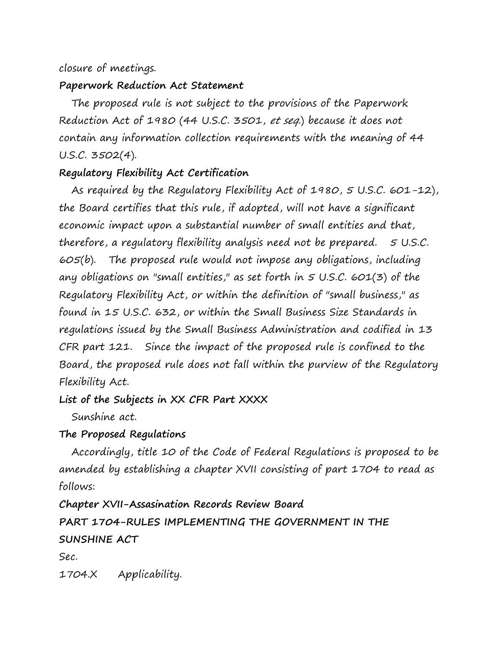### closure of meetings.

### **Paperwork Reduction Act Statement**

 The proposed rule is not subject to the provisions of the Paperwork Reduction Act of 1980 (44 U.S.C. 3501, et seq.) because it does not contain any information collection requirements with the meaning of 44 U.S.C. 3502(4).

# **Regulatory Flexibility Act Certification**

 As required by the Regulatory Flexibility Act of 1980, 5 U.S.C. 601-12), the Board certifies that this rule, if adopted, will not have a significant economic impact upon a substantial number of small entities and that, therefore, a regulatory flexibility analysis need not be prepared. 5 U.S.C. 605(b). The proposed rule would not impose any obligations, including any obligations on "small entities," as set forth in  $5$  U.S.C. 601(3) of the Regulatory Flexibility Act, or within the definition of "small business," as found in 15 U.S.C. 632, or within the Small Business Size Standards in regulations issued by the Small Business Administration and codified in 13 CFR part 121. Since the impact of the proposed rule is confined to the Board, the proposed rule does not fall within the purview of the Regulatory Flexibility Act.

## **List of the Subjects in XX CFR Part XXXX**

Sunshine act.

### **The Proposed Regulations**

 Accordingly, title 10 of the Code of Federal Regulations is proposed to be amended by establishing a chapter XVII consisting of part 1704 to read as follows:

**Chapter XVII-Assasination Records Review Board**

**PART 1704-RULES IMPLEMENTING THE GOVERNMENT IN THE SUNSHINE ACT**

Sec.

1704.X Applicability.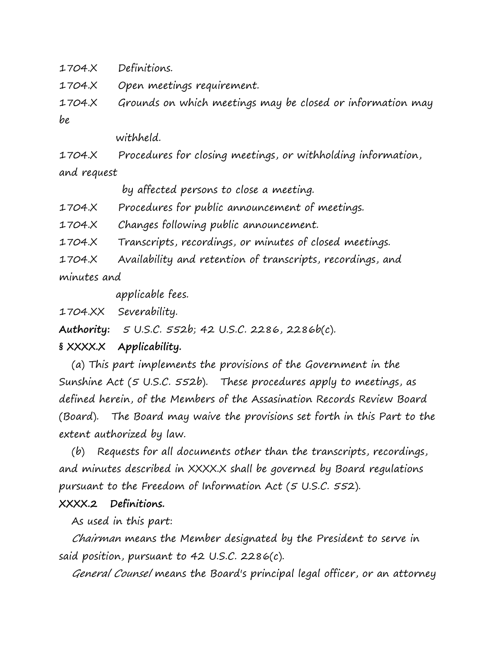1704.X Definitions.

1704.X Open meetings requirement.

1704.X Grounds on which meetings may be closed or information may be

withheld.

1704.X Procedures for closing meetings, or withholding information, and request

by affected persons to close a meeting.

1704.X Procedures for public announcement of meetings.

1704.X Changes following public announcement.

1704.X Transcripts, recordings, or minutes of closed meetings.

1704.X Availability and retention of transcripts, recordings, and minutes and

applicable fees.

1704.XX Severability.

**Authority:** 5 U.S.C. 552b; 42 U.S.C. 2286, 2286b(c).

#### **§ XXXX.X Applicability.**

 (a) This part implements the provisions of the Government in the Sunshine Act (5 U.S.C. 552b). These procedures apply to meetings, as defined herein, of the Members of the Assasination Records Review Board (Board). The Board may waive the provisions set forth in this Part to the extent authorized by law.

 (b) Requests for all documents other than the transcripts, recordings, and minutes described in XXXX.X shall be governed by Board regulations pursuant to the Freedom of Information Act (5 U.S.C. 552).

#### **XXXX.2 Definitions.**

As used in this part:

 Chairman means the Member designated by the President to serve in said position, pursuant to 42 U.S.C. 2286(c).

General Counsel means the Board's principal legal officer, or an attorney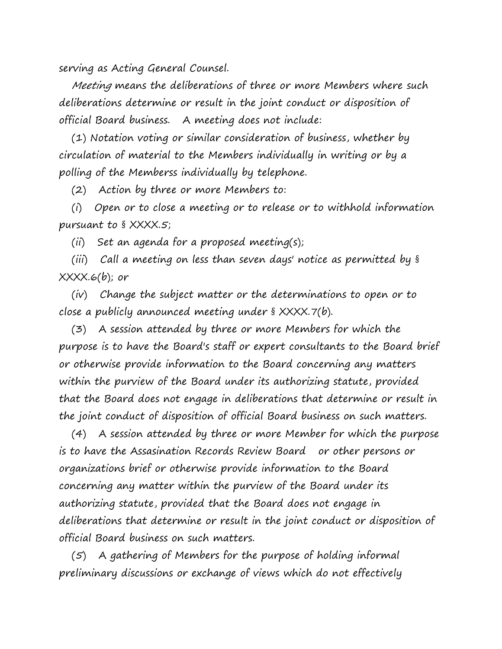serving as Acting General Counsel.

 Meeting means the deliberations of three or more Members where such deliberations determine or result in the joint conduct or disposition of official Board business. A meeting does not include:

 (1) Notation voting or similar consideration of business, whether by circulation of material to the Members individually in writing or by a polling of the Memberss individually by telephone.

(2) Action by three or more Members to:

 (i) Open or to close a meeting or to release or to withhold information pursuant to § XXXX.5;

(ii) Set an agenda for a proposed meeting(s);

 (iii) Call a meeting on less than seven days' notice as permitted by § XXXX.6(b); or

 (iv) Change the subject matter or the determinations to open or to close a publicly announced meeting under § XXXX.7(b).

 (3) A session attended by three or more Members for which the purpose is to have the Board's staff or expert consultants to the Board brief or otherwise provide information to the Board concerning any matters within the purview of the Board under its authorizing statute, provided that the Board does not engage in deliberations that determine or result in the joint conduct of disposition of official Board business on such matters.

 (4) A session attended by three or more Member for which the purpose is to have the Assasination Records Review Board or other persons or organizations brief or otherwise provide information to the Board concerning any matter within the purview of the Board under its authorizing statute, provided that the Board does not engage in deliberations that determine or result in the joint conduct or disposition of official Board business on such matters.

 (5) A gathering of Members for the purpose of holding informal preliminary discussions or exchange of views which do not effectively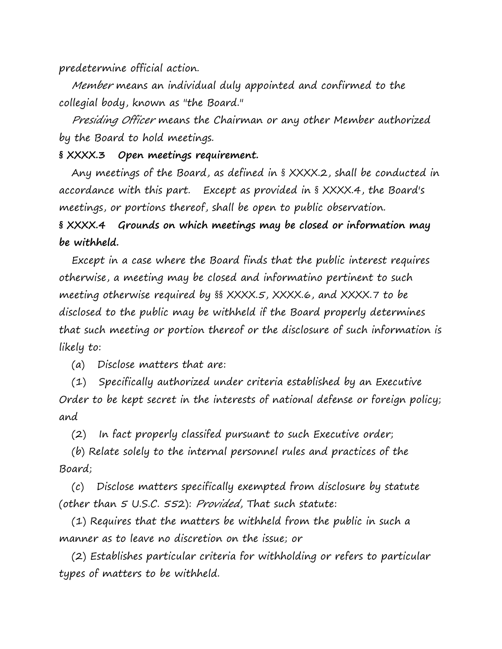predetermine official action.

 Member means an individual duly appointed and confirmed to the collegial body, known as "the Board."

 Presiding Officer means the Chairman or any other Member authorized by the Board to hold meetings.

### **§ XXXX.3 Open meetings requirement.**

 Any meetings of the Board, as defined in § XXXX.2, shall be conducted in accordance with this part. Except as provided in § XXXX.4, the Board's meetings, or portions thereof, shall be open to public observation.

**§ XXXX.4 Grounds on which meetings may be closed or information may be withheld.**

 Except in a case where the Board finds that the public interest requires otherwise, a meeting may be closed and informatino pertinent to such meeting otherwise required by §§ XXXX.5, XXXX.6, and XXXX.7 to be disclosed to the public may be withheld if the Board properly determines that such meeting or portion thereof or the disclosure of such information is likely to:

(a) Disclose matters that are:

 (1) Specifically authorized under criteria established by an Executive Order to be kept secret in the interests of national defense or foreign policy; and

(2) In fact properly classifed pursuant to such Executive order;

 (b) Relate solely to the internal personnel rules and practices of the Board;

 (c) Disclose matters specifically exempted from disclosure by statute (other than 5 U.S.C. 552): Provided, That such statute:

 (1) Requires that the matters be withheld from the public in such a manner as to leave no discretion on the issue; or

 (2) Establishes particular criteria for withholding or refers to particular types of matters to be withheld.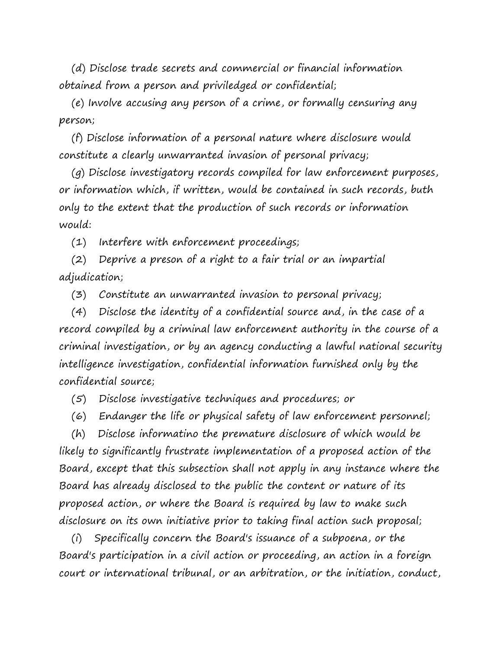(d) Disclose trade secrets and commercial or financial information obtained from a person and priviledged or confidential;

 (e) Involve accusing any person of a crime, or formally censuring any person;

 (f) Disclose information of a personal nature where disclosure would constitute a clearly unwarranted invasion of personal privacy;

 (g) Disclose investigatory records compiled for law enforcement purposes, or information which, if written, would be contained in such records, buth only to the extent that the production of such records or information would:

(1) Interfere with enforcement proceedings;

 (2) Deprive a preson of a right to a fair trial or an impartial adjudication;

(3) Constitute an unwarranted invasion to personal privacy;

 (4) Disclose the identity of a confidential source and, in the case of a record compiled by a criminal law enforcement authority in the course of a criminal investigation, or by an agency conducting a lawful national security intelligence investigation, confidential information furnished only by the confidential source;

(5) Disclose investigative techniques and procedures; or

(6) Endanger the life or physical safety of law enforcement personnel;

 (h) Disclose informatino the premature disclosure of which would be likely to significantly frustrate implementation of a proposed action of the Board, except that this subsection shall not apply in any instance where the Board has already disclosed to the public the content or nature of its proposed action, or where the Board is required by law to make such disclosure on its own initiative prior to taking final action such proposal;

 (i) Specifically concern the Board's issuance of a subpoena, or the Board's participation in a civil action or proceeding, an action in a foreign court or international tribunal, or an arbitration, or the initiation, conduct,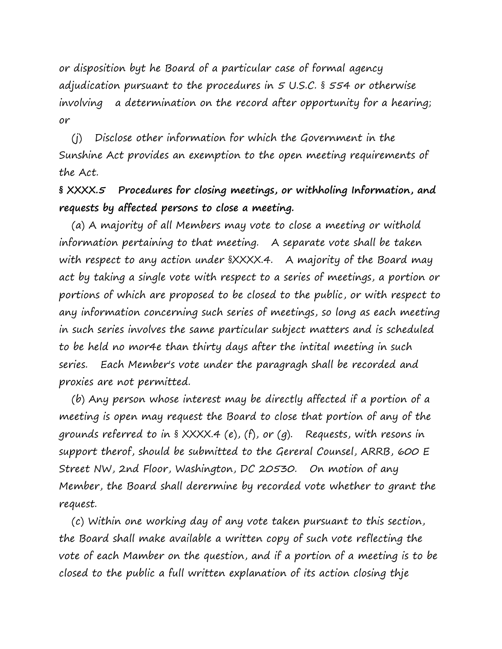or disposition byt he Board of a particular case of formal agency adjudication pursuant to the procedures in 5 U.S.C. § 554 or otherwise involving a determination on the record after opportunity for a hearing; or

 (j) Disclose other information for which the Government in the Sunshine Act provides an exemption to the open meeting requirements of the Act.

**§ XXXX.5 Procedures for closing meetings, or withholing Information, and requests by affected persons to close a meeting.**

 (a) A majority of all Members may vote to close a meeting or withold information pertaining to that meeting. A separate vote shall be taken with respect to any action under  $\frac{8}{1}$  XXXX.4. A majority of the Board may act by taking a single vote with respect to a series of meetings, a portion or portions of which are proposed to be closed to the public, or with respect to any information concerning such series of meetings, so long as each meeting in such series involves the same particular subject matters and is scheduled to be held no mor4e than thirty days after the intital meeting in such series. Each Member's vote under the paragragh shall be recorded and proxies are not permitted.

 (b) Any person whose interest may be directly affected if a portion of a meeting is open may request the Board to close that portion of any of the grounds referred to in § XXXX.4 (e), (f), or (g). Requests, with resons in support therof, should be submitted to the Gereral Counsel, ARRB, 600 E Street NW, 2nd Floor, Washington, DC 20530. On motion of any Member, the Board shall derermine by recorded vote whether to grant the request.

 (c) Within one working day of any vote taken pursuant to this section, the Board shall make available a written copy of such vote reflecting the vote of each Mamber on the question, and if a portion of a meeting is to be closed to the public a full written explanation of its action closing thje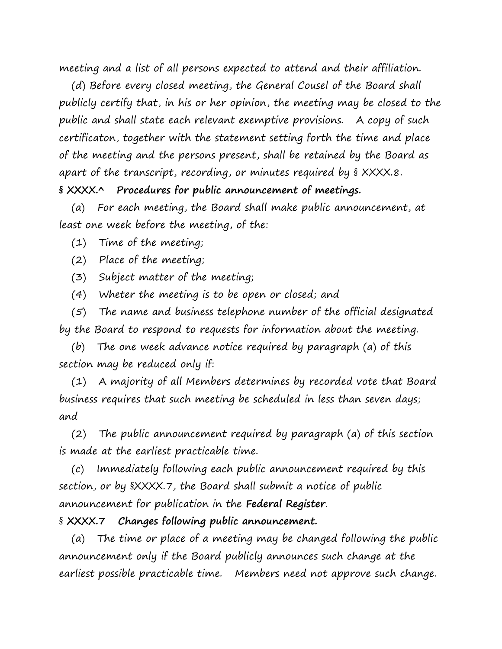meeting and a list of all persons expected to attend and their affiliation.

 (d) Before every closed meeting, the General Cousel of the Board shall publicly certify that, in his or her opinion, the meeting may be closed to the public and shall state each relevant exemptive provisions. A copy of such certificaton, together with the statement setting forth the time and place of the meeting and the persons present, shall be retained by the Board as apart of the transcript, recording, or minutes required by § XXXX.8.

**§ XXXX.^ Procedures for public announcement of meetings.**

 (a) For each meeting, the Board shall make public announcement, at least one week before the meeting, of the:

- (1) Time of the meeting;
- (2) Place of the meeting;
- (3) Subject matter of the meeting;
- (4) Wheter the meeting is to be open or closed; and

 (5) The name and business telephone number of the official designated by the Board to respond to requests for information about the meeting.

 (b) The one week advance notice required by paragraph (a) of this section may be reduced only if:

 (1) A majority of all Members determines by recorded vote that Board business requires that such meeting be scheduled in less than seven days; and

 (2) The public announcement required by paragraph (a) of this section is made at the earliest practicable time.

 (c) Immediately following each public announcement required by this section, or by §XXXX.7, the Board shall submit a notice of public announcement for publication in the **Federal Register**.

### § **XXXX.7 Changes following public announcement.**

 (a) The time or place of a meeting may be changed following the public announcement only if the Board publicly announces such change at the earliest possible practicable time. Members need not approve such change.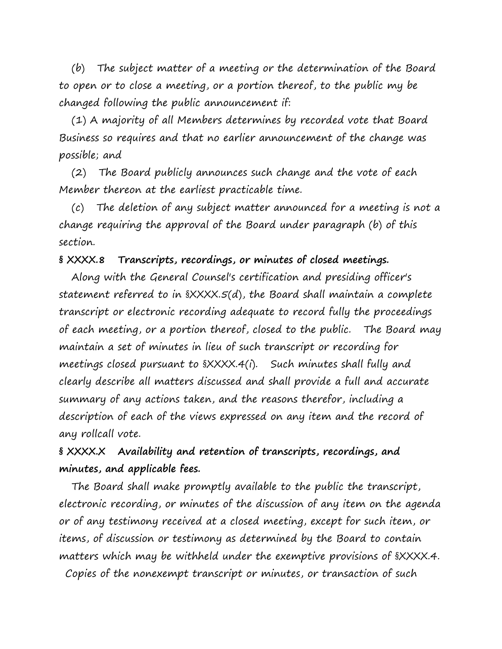(b) The subject matter of a meeting or the determination of the Board to open or to close a meeting, or a portion thereof, to the public my be changed following the public announcement if:

 (1) A majority of all Members determines by recorded vote that Board Business so requires and that no earlier announcement of the change was possible; and

 (2) The Board publicly announces such change and the vote of each Member thereon at the earliest practicable time.

 (c) The deletion of any subject matter announced for a meeting is not a change requiring the approval of the Board under paragraph (b) of this section.

### **§ XXXX.8 Transcripts, recordings, or minutes of closed meetings.**

 Along with the General Counsel's certification and presiding officer's statement referred to in §XXXX.5(d), the Board shall maintain a complete transcript or electronic recording adequate to record fully the proceedings of each meeting, or a portion thereof, closed to the public. The Board may maintain a set of minutes in lieu of such transcript or recording for meetings closed pursuant to §XXXX.4(i). Such minutes shall fully and clearly describe all matters discussed and shall provide a full and accurate summary of any actions taken, and the reasons therefor, including a description of each of the views expressed on any item and the record of any rollcall vote.

# **§ XXXX.X Availability and retention of transcripts, recordings, and minutes, and applicable fees.**

 The Board shall make promptly available to the public the transcript, electronic recording, or minutes of the discussion of any item on the agenda or of any testimony received at a closed meeting, except for such item, or items, of discussion or testimony as determined by the Board to contain matters which may be withheld under the exemptive provisions of §XXXX.4. Copies of the nonexempt transcript or minutes, or transaction of such